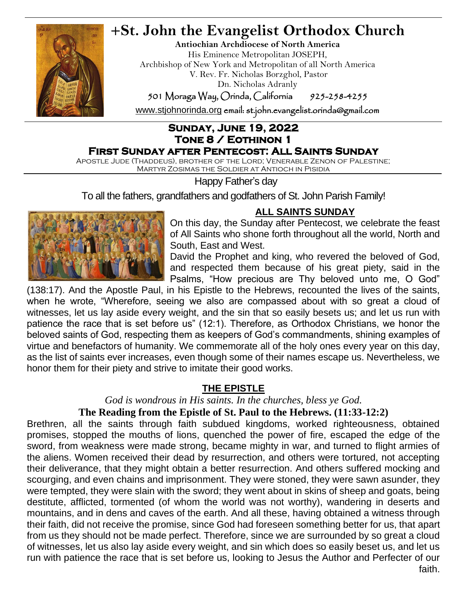

# **+St. John the Evangelist Orthodox Church**

**Antiochian Archdiocese of North America** His Eminence Metropolitan JOSEPH, Archbishop of New York and Metropolitan of all North America V. Rev. Fr. Nicholas Borzghol, Pastor Dn. Nicholas Adranly

501 Moraga Way, Orinda, California 925-258-4255

[www.stjohnorinda.org](http://www.stjohnorinda.org/) email: st.john.evangelist.orinda@gmail.com

## **Sunday, June 19, 2022 Tone 8 / Eothinon 1**

### **First Sunday after Pentecost: All Saints Sunday**

Apostle Jude (Thaddeus), brother of the Lord; Venerable Zenon of Palestine; Martyr Zosimas the Soldier at Antioch in Pisidia

Happy Father's day

To all the fathers, grandfathers and godfathers of St. John Parish Family!



### **ALL SAINTS SUNDAY**

On this day, the Sunday after Pentecost, we celebrate the feast of All Saints who shone forth throughout all the world, North and South, East and West.

David the Prophet and king, who revered the beloved of God, and respected them because of his great piety, said in the Psalms, "How precious are Thy beloved unto me, O God"

(138:17). And the Apostle Paul, in his Epistle to the Hebrews, recounted the lives of the saints, when he wrote, "Wherefore, seeing we also are compassed about with so great a cloud of witnesses, let us lay aside every weight, and the sin that so easily besets us; and let us run with patience the race that is set before us" (12:1). Therefore, as Orthodox Christians, we honor the beloved saints of God, respecting them as keepers of God's commandments, shining examples of virtue and benefactors of humanity. We commemorate all of the holy ones every year on this day, as the list of saints ever increases, even though some of their names escape us. Nevertheless, we honor them for their piety and strive to imitate their good works.

### **THE EPISTLE**

*God is wondrous in His saints. In the churches, bless ye God.*

### **The Reading from the Epistle of St. Paul to the Hebrews. (11:33-12:2)**

Brethren, all the saints through faith subdued kingdoms, worked righteousness, obtained promises, stopped the mouths of lions, quenched the power of fire, escaped the edge of the sword, from weakness were made strong, became mighty in war, and turned to flight armies of the aliens. Women received their dead by resurrection, and others were tortured, not accepting their deliverance, that they might obtain a better resurrection. And others suffered mocking and scourging, and even chains and imprisonment. They were stoned, they were sawn asunder, they were tempted, they were slain with the sword; they went about in skins of sheep and goats, being destitute, afflicted, tormented (of whom the world was not worthy), wandering in deserts and mountains, and in dens and caves of the earth. And all these, having obtained a witness through their faith, did not receive the promise, since God had foreseen something better for us, that apart from us they should not be made perfect. Therefore, since we are surrounded by so great a cloud of witnesses, let us also lay aside every weight, and sin which does so easily beset us, and let us run with patience the race that is set before us, looking to Jesus the Author and Perfecter of our faith.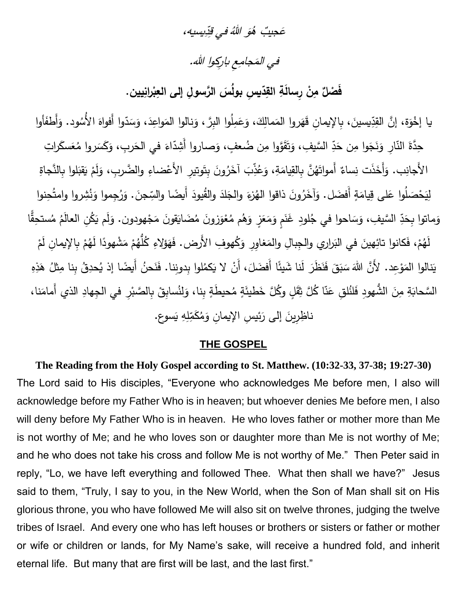#### يسيه، ِ د ِ في <sup>ق</sup> َ هللاُو ٌُب <sup>ه</sup> َجي ع

## في المَجامِعِ باركِوا الله.

فَصْلٌ مِنْ رِسالَةِ القِدّيسِ بولُسَ الرَّسولِ إلى العِبْرانِيين. **ْ**

دِّيسينَ، بِالإِيمانِ قَهَروا المَمالِكَ، وَعَمِلُوا البِرَّ ، وَنالوا المَواعِدَ، وَسَدّوا أَفواهَ الأُسُوه َ <u>ء</u> َ َ ا<br>ا  $\epsilon$ .<br>ا يا إخْوَة، إنَّ القِدِّيسينَ، بِالإِيمانِ قَهَروا المَمالِكَ، وَعَمِلُوا البِرَّ ، وَنالوا المَواعِدَ، وَسَدّوا أَفواهَ الأَسُود. وَأَطفَأوا دِّ السَّيفِ، وَتَقَوَّوا مِن ضُعفٍ، وَصاروا أَشِدّاءَ في الحَربِ، وَكَسَروا مُعَسكَرا <u>َ</u> َ حِدَّةَ النّارِ وَنَجَوا مِن حَدِّ السَّيفِ، وَتَقَوَّوا مِن ضُعفٍ، وَصـاروا أَشِدّاءَ في الحَربِ، وَكَسَروا مُعَسكَراتِ َ ֺ֧<sup>֚</sup> َ الأَجانِب. وَأَخَذَت نِساءٌ أَمواتَهُنَّ بِالقِيامَةِ، وَعُذِّبَ آخَرُونَ بِتَوتيرِ الأَعْضاءِ والضَّربِ، وَلَمْ يَقْبَلُوا بِالنَّجاةِ ْ .<br>-**:** َ َ لِيَحْصَلُوا عَلى قِيامَةٍ أَفضَل. وَآخَرُونَ ذاقوا الْهُزْءَ والْجَلاَ والْقُيودَ أَيضًا والسِّجنَ. وَرُجِموا وَنُشِروا وامتُحِنوا َ ֺ֧<sup>ׅ</sup> َ .<br>ا َ ا<br>ا وَماتوا بِحَدِّ السَّيفِ، وَسَاحوا في جُلودِ غَذَمٍ وَمَعَزٍ وَهُم مُعْوَزونَ مُضَايَقونَ مَجْهودون. وَلَم يَكُنِ العالَمُ مُستحِقًّا **ٔ** َ ْ َ َ ً<br>ً َ ا<br>ا َ َ د َ ح ْ لَهُمْ، فَكانوا تائِهينَ في البَراري والجِبالِ والمَغاوِرِ وَكُهوفِ الأَرض. فَهَؤلاءِ كُلُّهُمْ مَشْهودًا لَهُمْ بِالإيمانِ لَمْ ْ َ ً<br>ً .<br>ا .<br>ا ْ ْ يَنالوا المَوْعِد. لأَنَّ اللهَ سَبَقَ فَنَظَرَ لَنا شَيئًا أَفضَلَ، أَنْ لا يَكمُلوا بِدونِنا. فَنَحنُ أَيضًا إذ يُحدِقُ بِنا مِثْلُ هَذِهِ  $\ddot{=}$  $\overline{\phantom{0}}$ َ َ َ  $\overline{\phantom{0}}$ ً<br>ب ْ ،<br>ک السَّحابَةِ مِنَ الشُّهودِ فَلنُلقِ عَنّا كُلَّ ثِقَلٍ وكُلَّ خَطيئَةٍ مُحيطَةٍ بِنا، وَلِنُسابِقْ بِالصَّبْرِ في الجِهادِ الذي أَمامَنا، ֡**֡** ٍ<br>م <u>م</u> َ ا<br>ا ْ َسوع. ي هِ ِ ل ِ ناظِرِينَ إلى رَئيسِ الإِيمانِ وَمُكَمِّ َ َ <u>َ</u>ـٰ

#### **THE GOSPEL**

**The Reading from the Holy Gospel according to St. Matthew. (10:32-33, 37-38; 19:27-30)** The Lord said to His disciples, "Everyone who acknowledges Me before men, I also will acknowledge before my Father Who is in heaven; but whoever denies Me before men, I also will deny before My Father Who is in heaven. He who loves father or mother more than Me is not worthy of Me; and he who loves son or daughter more than Me is not worthy of Me; and he who does not take his cross and follow Me is not worthy of Me." Then Peter said in reply, "Lo, we have left everything and followed Thee. What then shall we have?" Jesus said to them, "Truly, I say to you, in the New World, when the Son of Man shall sit on His glorious throne, you who have followed Me will also sit on twelve thrones, judging the twelve tribes of Israel. And every one who has left houses or brothers or sisters or father or mother or wife or children or lands, for My Name's sake, will receive a hundred fold, and inherit eternal life. But many that are first will be last, and the last first."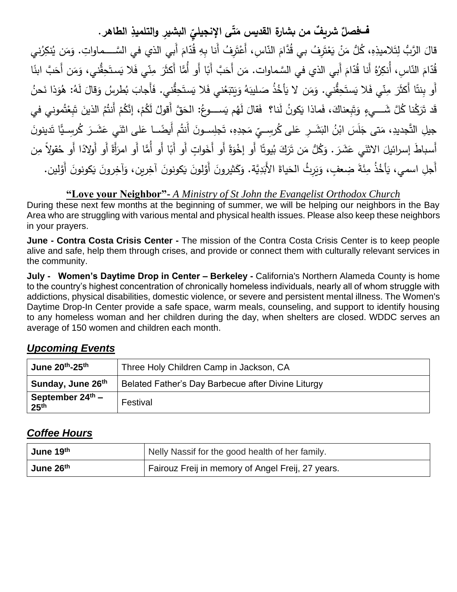**ّ <sup>ف</sup> ِ ال ّى اإلنجيلي ت ٌف من بشارة القديس م ٌ شري فصل بشيِر الطاهر ِ والتلميذ . َ**

قالَ الرَّبُّ لِتَلاميذِهِ، كُلُّ مَنْ يَعْتَرِفُ بي قُدَّامَ النّاسِ، أَعْتَرِفُ أَنا بِهِ قُدّامَ أَبي الذي في السَّـــماواتِ. وَمَن يُنكِرُني مُ  $\frac{1}{2}$ ْ مُ  $\ddot{ }$ ْ  $\ddot{\phantom{0}}$ .<br>-ً<br>ً ً<br>ً َ قُدّامَ النّاسِ، أَنكِرُهُ أَنا قُدّامَ أَبي الذي في السَّماوات. مَن أَحَبَّ أَبَا أَو أَمَّا أَكثَرَ مِنّي فَلا يَستَحِقُّني، وَمَن أَحَبَّ ابنَا َ َ مُ َ ً<br>ً َ َ َ َ أَو بِنتًا أَكثَرَ مِنّي فَلا يَستَحِقُّني. وَمَن لا يَأْخُذُ صَليبَهُ وَيَتبَعُني فَلا يَستَحِقُّني. فَأَجابَ بُطرسُ وَقالَ لَهُ: هُوَذا نَحنُ  $\overline{a}$ َ  $\ddot{\phantom{}}$ <u>ہ</u> <u>َ</u> ٔ. َٺا َ َ َ  $\ddot{ }$ َ َ <u>َ</u> َ <u>ا</u> قد تَرَكْنا كُلَّ شَـــيءٍ وَتَبِعناكَ، فَماذا يَكونُ لَنا؟ ۖ فَقالَ لَهُم يَســـوعُ: الحَقَّ أَقولُ لَكُمْ، إنَّكُمْ أَنتُمُ الذينَ تَبِعْتُموني في **ً** .<br>ا ا<br>ا َ ْ <u>ِ</u> ِّبُّ ْ ْ َ  $\overline{a}$ يِّ مَجدِهِ، تَجلِســونَ أَنتُم أَيضًـــا عَلى اثنَي عَشَــرَ كُرسِــيًّا تَدينور .<br>م َ ِّبُّ َ جيلِ التَّجديدِ، مَتى جَلَسَ ابْنُ البَشَــرِ عَلـى كُرسِــيِّ مَجدِهِ، تَجلِســونَ أَنتُم أَيضًــا عَلـى اثنَـي عَشَــرَ كُرسِــيًّا تَدينونَ<br>ِ َ َ  $\overline{a}$ ֺ֧֧֧֧֪ׅ֪֪֧֪ׅ֧֪֪ׅ֧֖֧֧֪֪ׅ֧֖֚֚֚֚֚֚֚֚֚֚֚֚֚֚֚֚֚֚֚֝֝֝֘֩֝֬֝֬֝֝֓֞֝֬֝ َ أَسباطَ إسرائيلَ الاثنَي عَشَرَ . وَكُلُّ مَن تَرَكَ بُيوتًا أَو إخْوَةً أَو أَخَواتٍ أَو أَبًا أَو أَهَّا أَو أَهْلادًا أَو حُقولاً مِن َ .<br>م َ َ َ ً<br>ً أَجْلِ اسمي، يَأْخُذُ مِئَةَ ضِعفٍ، وَيَرِثُ الْحَياةَ الأَبَدِيَّة. وَكَثيرونَ أَوَّلونَ يَكونونَ رَجَزونَ أَوَّلين. <u>َ</u>ّ **ٔ** <u>َ</u>ّ َ <u>َ</u>ـٰ **ً** <u>َ</u>ّ <u>َ</u>ّ َ َ .<br>. َ َ .<br>ا َ

**"Love your Neighbor"-** *A Ministry of St John the Evangelist Orthodox Church*

During these next few months at the beginning of summer, we will be helping our neighbors in the Bay Area who are struggling with various mental and physical health issues. Please also keep these neighbors in your prayers.

**June - Contra Costa Crisis Center -** The mission of the Contra Costa Crisis Center is to keep people alive and safe, help them through crises, and provide or connect them with culturally relevant services in the community.

**July - Women's Daytime Drop in Center – Berkeley -** California's Northern Alameda County is home to the country's highest concentration of chronically homeless individuals, nearly all of whom struggle with addictions, physical disabilities, domestic violence, or severe and persistent mental illness. The Women's Daytime Drop-In Center provide a safe space, warm meals, counseling, and support to identify housing to any homeless woman and her children during the day, when shelters are closed. WDDC serves an average of 150 women and children each month.

## *Upcoming Events*

| June 20th-25th                                   | Three Holy Children Camp in Jackson, CA            |
|--------------------------------------------------|----------------------------------------------------|
| ' Sunday, June 26 <sup>th</sup>                  | Belated Father's Day Barbecue after Divine Liturgy |
| September 24 <sup>th</sup> –<br>25 <sup>th</sup> | Festival                                           |

## *Coffee Hours*

| June 19th | Nelly Nassif for the good health of her family.   |  |
|-----------|---------------------------------------------------|--|
| June 26th | Fairouz Freij in memory of Angel Freij, 27 years. |  |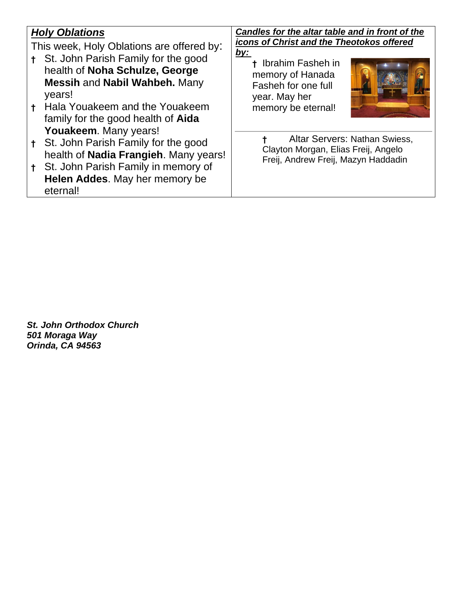|                                           | <b>Holy Oblations</b>                     | Candles for the altar table and in front of the                                                             |  |  |  |
|-------------------------------------------|-------------------------------------------|-------------------------------------------------------------------------------------------------------------|--|--|--|
| This week, Holy Oblations are offered by: |                                           | icons of Christ and the Theotokos offered                                                                   |  |  |  |
|                                           | t St. John Parish Family for the good     | <u>by:</u><br>+ Ibrahim Fasheh in                                                                           |  |  |  |
|                                           | health of Noha Schulze, George            | memory of Hanada                                                                                            |  |  |  |
|                                           | <b>Messih and Nabil Wahbeh. Many</b>      | Fasheh for one full                                                                                         |  |  |  |
|                                           | years!                                    | year. May her                                                                                               |  |  |  |
|                                           | + Hala Youakeem and the Youakeem          | memory be eternal!                                                                                          |  |  |  |
|                                           | family for the good health of <b>Aida</b> |                                                                                                             |  |  |  |
|                                           | Youakeem. Many years!                     |                                                                                                             |  |  |  |
|                                           | St. John Parish Family for the good       | Altar Servers: Nathan Swiess,<br>Clayton Morgan, Elias Freij, Angelo<br>Freij, Andrew Freij, Mazyn Haddadin |  |  |  |
|                                           | health of Nadia Frangieh. Many years!     |                                                                                                             |  |  |  |
|                                           | St. John Parish Family in memory of       |                                                                                                             |  |  |  |
|                                           | Helen Addes. May her memory be            |                                                                                                             |  |  |  |
|                                           | eternal!                                  |                                                                                                             |  |  |  |

*St. John Orthodox Church 501 Moraga Way Orinda, CA 94563*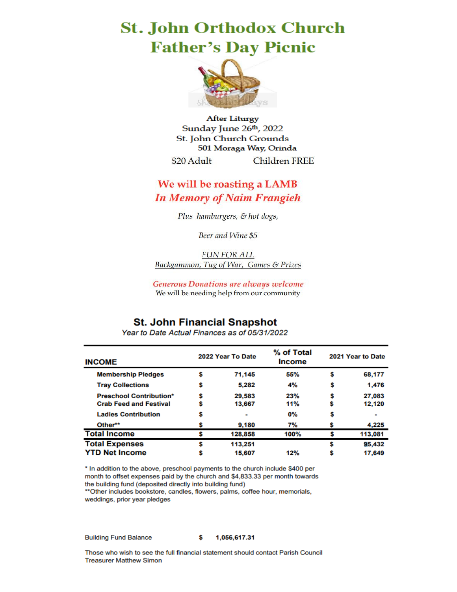## **St. John Orthodox Church Father's Day Picnic**



**After Liturgy** Sunday June 26th, 2022 St. John Church Grounds 501 Moraga Way, Orinda \$20 Adult **Children FREE** 

### We will be roasting a LAMB **In Memory of Naim Frangieh**

Plus hamburgers, & hot dogs,

Beer and Wine \$5

**FUN FOR ALL** Backgammon, Tug of War, Games & Prizes

**Generous Donations are always welcome** We will be needing help from our community

#### **St. John Financial Snapshot**

| <b>INCOME</b>                                                   |   | 2022 Year To Date | % of Total<br><b>Income</b> | 2021 Year to Date |                  |
|-----------------------------------------------------------------|---|-------------------|-----------------------------|-------------------|------------------|
| <b>Membership Pledges</b>                                       | s | 71,145            | 55%                         | s                 | 68,177           |
| <b>Tray Collections</b>                                         | s | 5.282             | 4%                          | S                 | 1.476            |
| <b>Preschool Contribution*</b><br><b>Crab Feed and Festival</b> | S | 29.583<br>13.667  | 23%<br>11%                  |                   | 27,083<br>12,120 |
| <b>Ladies Contribution</b>                                      |   |                   | 0%                          |                   |                  |
| Other**                                                         |   | 9,180             | 7%                          |                   | 4,225            |
| <b>Total Income</b>                                             | S | 128,858           | 100%                        | S                 | 113,081          |
| <b>Total Expenses</b>                                           | S | 113,251           |                             | S                 | 95,432           |
| <b>YTD Net Income</b>                                           |   | 15,607            | 12%                         |                   | 17,649           |

Year to Date Actual Finances as of 05/31/2022

\* In addition to the above, preschool payments to the church include \$400 per month to offset expenses paid by the church and \$4,833.33 per month towards the building fund (deposited directly into building fund)

\*\* Other includes bookstore, candles, flowers, palms, coffee hour, memorials, weddings, prior year pledges

**Building Fund Balance** 

1,056,617.31

Those who wish to see the full financial statement should contact Parish Council **Treasurer Matthew Simon** 

Ś